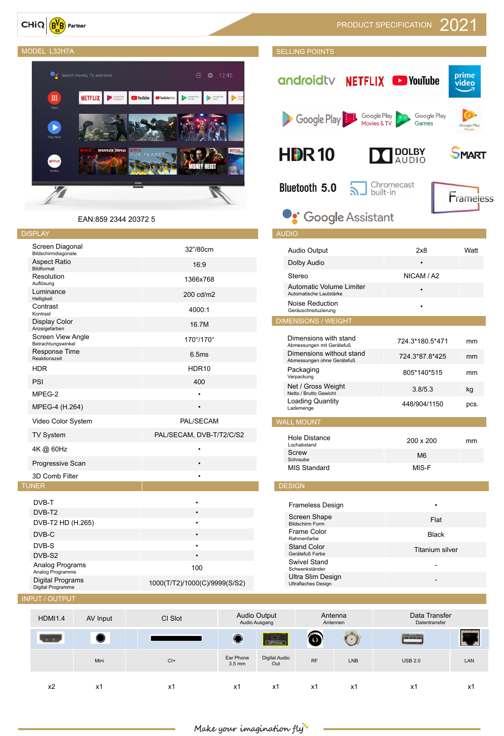$CHiQ$   $B<sup>V</sup>B$  Partner



| Screen Diagonal<br>Bildschirmdiagonale         | 32"/80cm                 |
|------------------------------------------------|--------------------------|
| <b>Aspect Ratio</b><br>Bildformat              | 16:9                     |
| Resolution<br>Auflösung                        | 1366x768                 |
| Luminance<br>Helligkeit                        | 200 cd/m2                |
| Contrast<br>Kontrast                           | 4000:1                   |
| <b>Display Color</b><br>Anzeigefarben          | 16.7M                    |
| <b>Screen View Angle</b><br>Betrachtungswinkel | 170°/170°                |
| <b>Response Time</b><br>Reaktionszeit          | 6.5ms                    |
| <b>HDR</b>                                     | HDR10                    |
| PSI                                            | 400                      |
| MPEG-2                                         | $\bullet$                |
| MPEG-4 (H.264)                                 | $\bullet$                |
| Video Color System                             | PAL/SECAM                |
| <b>TV System</b>                               | PAL/SECAM, DVB-T/T2/C/S2 |
| 4K @ 60Hz                                      |                          |
| <b>Progressive Scan</b>                        | $\bullet$                |
| 3D Comb Filter                                 | $\bullet$                |
| <b>UNER</b>                                    |                          |
| DVB-T                                          |                          |
| DVB-T2                                         |                          |
| DVB-T2 HD (H.265)                              |                          |
| DVB-C                                          |                          |

### MODEL L32H7A SELLING POIINTS prime androidtv NETFLIX DYouTube video Google Play Google Play Google Play Movies & TV Games Google Play **HDR10 DOLBY**<br>AUDIO **PMART Bluetooth 5.0** Chromecast R built-in Frameless **De** Google Assistant

### Dimensions with stand DIMENSIONS WITH STAND 724.3\*180.5\*471 mm<br>Abmessungen mit Gerätefuß Dimensions without stand Abmessungen ohne Gerätefuß 724.3\*87.8\*425 mm Packaging<br>Verpackung 805\*140\*515 mm Net / Gross Weight Netto / Brutto Gewicht 3.8/5.3 kg Loading Quantity Loading Quantity <br>Lademenge by the 448/904/1150 pcs. Screw WALL MOUNT Audio Output 2x8 Watt Dolby Audio • Stereo NICAM / A2 Automatic Volume Limiter AUTOMATIC VOLUME LIMITER<br>Automatische Lautstärke Noise Reduction Geräuschreduzierung • DIMENSIONS / WEIGHT Hole Distance<br>Lochabstand Professional Distance<br>Lochabstand 200 x 200 mm Schraube M6<br>Schraube M6 MIS Standard MIS-F DESIGN Frameless Design •

| DVB-T <sub>2</sub><br>DVB-T2 HD (H.265) |                | $\bullet$<br>$\bullet$        |                               |                                      | Screen Shape<br><b>Bildschirm Form</b>                 |                     | Flat                           |     |  |  |  |  |
|-----------------------------------------|----------------|-------------------------------|-------------------------------|--------------------------------------|--------------------------------------------------------|---------------------|--------------------------------|-----|--|--|--|--|
| DVB-C                                   |                | $\bullet$                     |                               |                                      | Frame Color<br>Rahmenfarbe                             |                     | <b>Black</b>                   |     |  |  |  |  |
| DVB-S                                   |                | $\bullet$                     |                               |                                      | <b>Stand Color</b>                                     |                     | Titanium silver                |     |  |  |  |  |
| DVB-S2                                  |                | $\bullet$                     |                               |                                      | Gerätefuß Farbe                                        |                     |                                |     |  |  |  |  |
| Analog Programs<br>Analog Programme     |                | 100                           |                               |                                      | <b>Swivel Stand</b><br>Schwenkständer                  |                     | $\blacksquare$                 |     |  |  |  |  |
| Digital Programs<br>Digital Programme   |                | 1000(T/T2)/1000(C)/9999(S/S2) |                               |                                      | <b>Ultra Slim Design</b><br><b>Ultraflaches Design</b> |                     | $\overline{\phantom{a}}$       |     |  |  |  |  |
| <b>INPUT / OUTPUT</b>                   |                |                               |                               |                                      |                                                        |                     |                                |     |  |  |  |  |
| <b>HDMI1.4</b>                          | AV Input       | CI Slot                       |                               | <b>Audio Output</b><br>Audio Ausgang |                                                        | Antenna<br>Antennen | Data Transfer<br>Datentransfer |     |  |  |  |  |
| <b>TIME</b>                             |                |                               | $\bullet$                     | <b>CONCAL</b>                        | $\circledcirc$                                         |                     | <b>PHUR</b>                    |     |  |  |  |  |
|                                         | Mini           | $Cl +$                        | Ear Phone<br>$3.5 \text{ mm}$ | <b>Digital Audio</b><br>Out          | RF                                                     | <b>LNB</b>          | <b>USB 2.0</b>                 | LAN |  |  |  |  |
| x2                                      | x <sub>1</sub> | x1                            | x <sub>1</sub>                | x1                                   | x1                                                     | x <sub>1</sub>      | x1                             | x1  |  |  |  |  |



EAN:859 2344 20372 5

#### DISPLAY AUDIO AUDIO AUTO AUTO AUTO AUDIO AUDIO AUDIO AUDIO AUDIO AUDIO AUDIO AUDIO AUDIO AUDIO AUDIO AUDIO AUD

 $\top$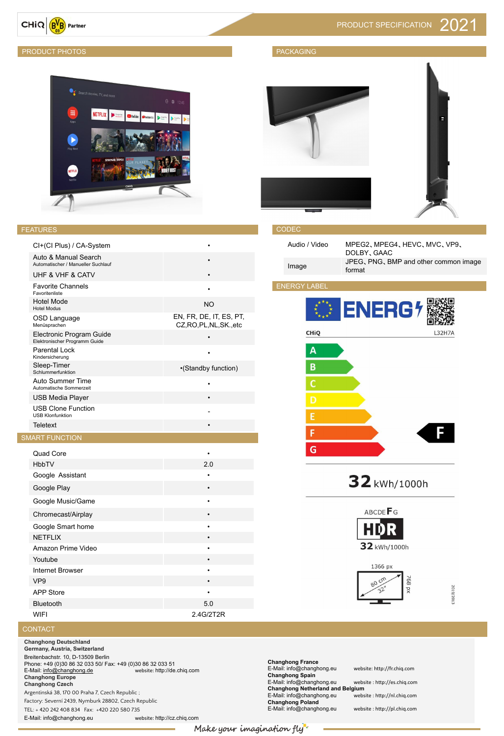

#### PRODUCT PHOTOS AND ACCORDING TO A REPORT OF THE RESERVE OF THE RESERVE OF THE RESERVE OF THE RESERVE OF THE RESERVE OF THE RESERVE OF THE RESERVE OF THE RESERVE OF THE RESERVE OF THE RESERVE OF THE RESERVE OF THE RESERVE O



#### FEATURES

#### CODEC

| Audio / Video | MPEG2、MPEG4、HEVC、MVC、VP9、<br>DOLBY, GAAC        |
|---------------|-------------------------------------------------|
| Image         | JPEG, PNG, BMP and other common image<br>format |

Amazon Prime Video •

#### Internet Browser •

| VP <sub>9</sub>  | $\bullet$ |
|------------------|-----------|
| <b>APP Store</b> | ٠         |
| <b>Bluetooth</b> | 5.0       |
| WIFI             | 2.4G/2T2R |



## 2019/2013

#### **CONTACT**

| CI+(CI Plus) / CA-System                                         |                                                     |
|------------------------------------------------------------------|-----------------------------------------------------|
| Auto & Manual Search<br>Automatischer / Manueller Suchlauf       |                                                     |
| <b>UHF &amp; VHF &amp; CATV</b>                                  |                                                     |
| <b>Favorite Channels</b><br>Favoritenliste                       |                                                     |
| <b>Hotel Mode</b><br><b>Hotel Modus</b>                          | <b>NO</b>                                           |
| <b>OSD Language</b><br>Menüsprachen                              | EN, FR, DE, IT, ES, PT,<br>CZ, RO, PL, NL, SK., etc |
| <b>Electronic Program Guide</b><br>Elektronischer Programm Guide |                                                     |
| <b>Parental Lock</b><br>Kindersicherung                          |                                                     |
| Sleep-Timer<br>Schlummerfunktion                                 | •(Standby function)                                 |
| <b>Auto Summer Time</b><br>Automatische Sommerzeit               |                                                     |
| <b>USB Media Player</b>                                          |                                                     |
| <b>USB Clone Function</b><br><b>USB Klonfunktion</b>             |                                                     |
| <b>Teletext</b>                                                  |                                                     |
| <b>SMART FUNCTION</b>                                            |                                                     |
| <b>Quad Core</b>                                                 |                                                     |
| <b>HbbTV</b>                                                     | 2.0                                                 |
| Google Assistant                                                 |                                                     |
| Google Play                                                      |                                                     |
| Google Music/Game                                                |                                                     |
| Chromecast/Airplay                                               |                                                     |
| Google Smart home                                                |                                                     |
| <b>NETFLIX</b>                                                   |                                                     |





#### ENERGY LABEL



32 kWh/1000h



#### **Youtube**

**Changhong Deutschland Germany, Austria, Switzerland**

Breitenbachstr. 10, D-13509 Berlin Phone: +49 (0)30 86 32 033 50/ Fax: +49 (0)30 86 32 033 51 E-Mail: [info@changhong.de](mailto:info@changhong.de) website: http://de.chiq.com **Changhong Europe Changhong Czech** 

Argentinská 38, 170 00 Praha 7, Czech Republic ;

Factory: Severní 2439, Nymburk 28802, Czech Republic

TEL: + 420 242 408 834 Fax: +420 220 580 735

E-Mail: info@changhong.eu website: http://cz.chiq.com

**Changhong France**  E-Mail: info@changhong.eu website: http://fr.chiq.com **Changhong Spain** E-Mail: info@changhong.eu website : http://es.chiq.com **Changhong Netherland and Belgium**<br>E-Mail: info@changhong.eu website : http://nl.chiq.com E-Mail: info@changhong.eu **Changhong Poland**  E-Mail: info@changhong.eu website : http://pl.chiq.com

Make your imagination fly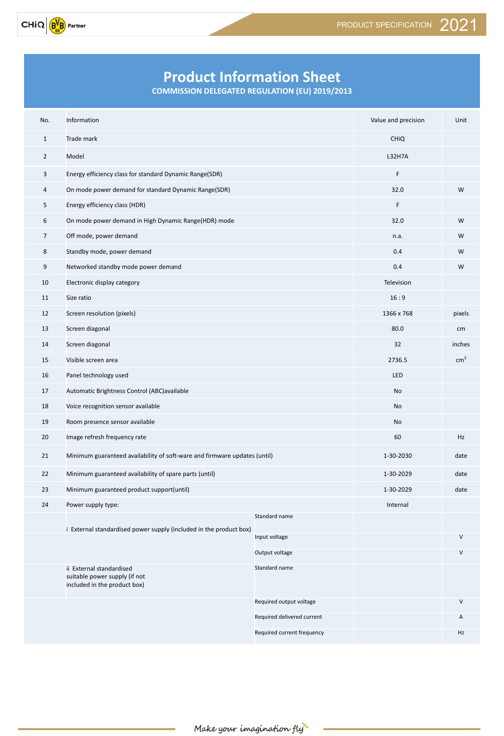

## **Product Information Sheet**

**COMMISSION DELEGATED REGULATION (EU) 2019/2013**

| No.             | Information                                                                               |                            | Value and precision | Unit          |  |  |  |
|-----------------|-------------------------------------------------------------------------------------------|----------------------------|---------------------|---------------|--|--|--|
| $\mathbf{1}$    | Trade mark                                                                                | <b>CHIQ</b>                |                     |               |  |  |  |
| $2^{\circ}$     | Model                                                                                     | <b>L32H7A</b>              |                     |               |  |  |  |
| 3               | Energy efficiency class for standard Dynamic Range(SDR)                                   | $\mathsf F$                |                     |               |  |  |  |
| 4               | On mode power demand for standard Dynamic Range(SDR)                                      | 32.0                       | W                   |               |  |  |  |
| 5 <sub>1</sub>  | Energy efficiency class (HDR)                                                             | F.                         |                     |               |  |  |  |
| 6               | On mode power demand in High Dynamic Range(HDR) mode                                      | 32.0                       | W                   |               |  |  |  |
| $7\overline{ }$ | Off mode, power demand                                                                    | n.a.                       | W                   |               |  |  |  |
| 8               | Standby mode, power demand                                                                |                            | 0.4                 | W             |  |  |  |
| 9               | Networked standby mode power demand                                                       |                            | 0.4                 | W             |  |  |  |
| 10              | Electronic display category                                                               |                            | Television          |               |  |  |  |
| 11              | Size ratio                                                                                |                            | 16:9                |               |  |  |  |
| 12              | Screen resolution (pixels)                                                                | 1366 x 768                 | pixels              |               |  |  |  |
| 13              | Screen diagonal                                                                           | 80.0                       | cm                  |               |  |  |  |
| 14              | Screen diagonal                                                                           | 32                         | inches              |               |  |  |  |
| 15              | Visible screen area                                                                       |                            | 2736.5              | $\text{cm}^2$ |  |  |  |
| 16              | Panel technology used                                                                     | LED                        |                     |               |  |  |  |
| 17              | Automatic Brightness Control (ABC)available                                               |                            | No                  |               |  |  |  |
| 18              | Voice recognition sensor available                                                        |                            | No                  |               |  |  |  |
| 19              | Room presence sensor available                                                            |                            | No                  |               |  |  |  |
| 20              | Image refresh frequency rate                                                              |                            | 60                  | Hz            |  |  |  |
| 21              | Minimum guaranteed availability of soft-ware and firmware updates (until)                 |                            | 1-30-2030           | date          |  |  |  |
| 22              | Minimum guaranteed availability of spare parts (until)                                    |                            | 1-30-2029           | date          |  |  |  |
| 23              | Minimum guaranteed product support(until)                                                 |                            | 1-30-2029           | date          |  |  |  |
| 24              | Power supply type:                                                                        |                            | Internal            |               |  |  |  |
|                 |                                                                                           | Standard name              |                     |               |  |  |  |
|                 | i External standardised power supply (included in the product box)                        | Input voltage              |                     | V             |  |  |  |
|                 |                                                                                           | Output voltage             |                     | V             |  |  |  |
|                 | ii External standardised<br>suitable power supply (if not<br>included in the product box) | Standard name              |                     |               |  |  |  |
|                 |                                                                                           | Required output voltage    |                     | V             |  |  |  |
|                 |                                                                                           | Required delivered current | Α                   |               |  |  |  |
|                 |                                                                                           | Required current frequency |                     | Hz            |  |  |  |